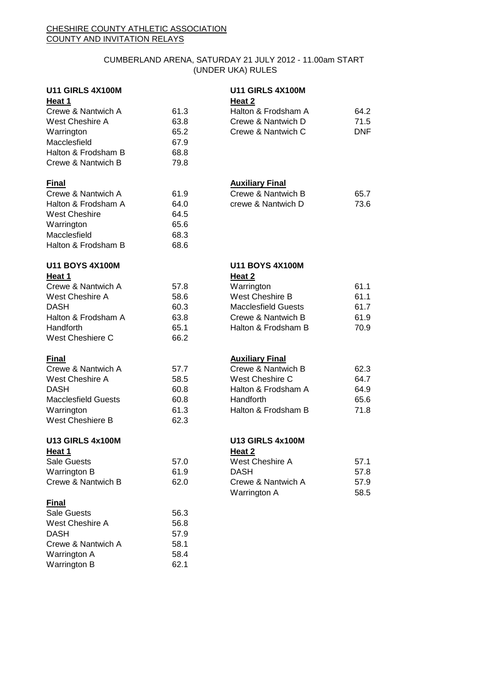## CUMBERLAND ARENA, SATURDAY 21 JULY 2012 - 11.00am START (UNDER UKA) RULES

| <b>U11 GIRLS 4X100M</b>    |      | <b>U11 GIRLS 4X100M</b>    |            |
|----------------------------|------|----------------------------|------------|
| Heat 1                     |      | Heat 2                     |            |
| Crewe & Nantwich A         | 61.3 | Halton & Frodsham A        | 64.2       |
| West Cheshire A            | 63.8 | Crewe & Nantwich D         | 71.5       |
| Warrington                 | 65.2 | Crewe & Nantwich C         | <b>DNF</b> |
| Macclesfield               | 67.9 |                            |            |
| Halton & Frodsham B        | 68.8 |                            |            |
| Crewe & Nantwich B         | 79.8 |                            |            |
| <b>Final</b>               |      | <b>Auxiliary Final</b>     |            |
| Crewe & Nantwich A         | 61.9 | Crewe & Nantwich B         | 65.7       |
| Halton & Frodsham A        | 64.0 | crewe & Nantwich D         | 73.6       |
| <b>West Cheshire</b>       | 64.5 |                            |            |
| Warrington                 | 65.6 |                            |            |
| Macclesfield               | 68.3 |                            |            |
| Halton & Frodsham B        | 68.6 |                            |            |
| <b>U11 BOYS 4X100M</b>     |      | <b>U11 BOYS 4X100M</b>     |            |
| Heat 1                     |      | Heat 2                     |            |
| Crewe & Nantwich A         | 57.8 | Warrington                 | 61.1       |
| West Cheshire A            | 58.6 | West Cheshire B            | 61.1       |
| <b>DASH</b>                | 60.3 | <b>Macclesfield Guests</b> | 61.7       |
| Halton & Frodsham A        | 63.8 | Crewe & Nantwich B         | 61.9       |
| Handforth                  | 65.1 | Halton & Frodsham B        | 70.9       |
| West Cheshiere C           | 66.2 |                            |            |
| <b>Final</b>               |      | <b>Auxiliary Final</b>     |            |
| Crewe & Nantwich A         | 57.7 | Crewe & Nantwich B         | 62.3       |
| West Cheshire A            | 58.5 | West Cheshire C            | 64.7       |
| <b>DASH</b>                | 60.8 | Halton & Frodsham A        | 64.9       |
| <b>Macclesfield Guests</b> | 60.8 | Handforth                  | 65.6       |
| Warrington                 | 61.3 | Halton & Frodsham B        | 71.8       |
| West Cheshiere B           | 62.3 |                            |            |
| <b>U13 GIRLS 4x100M</b>    |      | <b>U13 GIRLS 4x100M</b>    |            |
| Heat 1                     |      | Heat <sub>2</sub>          |            |
| Sale Guests                | 57.0 | West Cheshire A            | 57.1       |
| Warrington B               | 61.9 | DASH                       | 57.8       |
| Crewe & Nantwich B         | 62.0 | Crewe & Nantwich A         | 57.9       |
| <b>Final</b>               |      | Warrington A               | 58.5       |
| Sale Guests                | 56.3 |                            |            |
| West Cheshire A            | 56.8 |                            |            |
| <b>DASH</b>                | 57.9 |                            |            |
| Crewe & Nantwich A         | 58.1 |                            |            |
| Warrington A               | 58.4 |                            |            |
| Warrington B               | 62.1 |                            |            |
|                            |      |                            |            |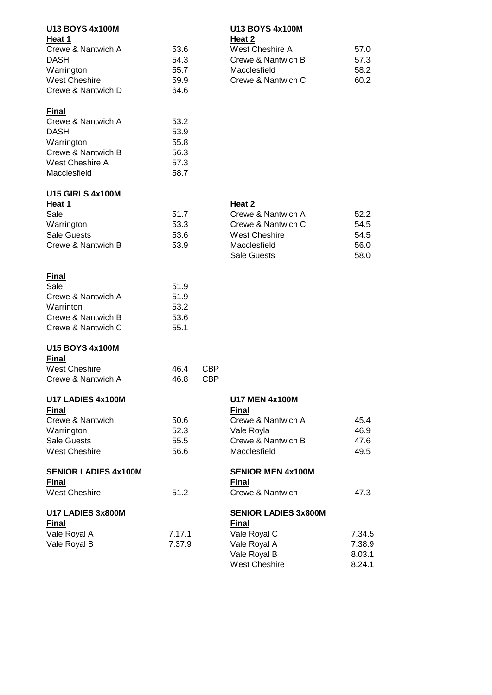| Heat 1<br>Heat 2<br>Crewe & Nantwich A<br>53.6<br>West Cheshire A<br>57.0<br>54.3<br>Crewe & Nantwich B<br>57.3<br>Warrington<br>55.7<br>Macclesfield<br>58.2<br>59.9<br>Crewe & Nantwich C<br>60.2<br>64.6<br>Crewe & Nantwich A<br>53.2<br><b>DASH</b><br>53.9<br>Warrington<br>55.8<br>Crewe & Nantwich B<br>56.3<br>West Cheshire A<br>57.3<br>58.7<br>Heat 2<br>Sale<br>51.7<br>Crewe & Nantwich A<br>52.2<br>53.3<br>Crewe & Nantwich C<br>54.5<br><b>West Cheshire</b><br><b>Sale Guests</b><br>53.6<br>54.5<br>Crewe & Nantwich B<br>53.9<br>Macclesfield<br>56.0<br><b>Sale Guests</b><br>58.0<br><b>Final</b><br>Sale<br>51.9<br>Crewe & Nantwich A<br>51.9<br>53.2<br>53.6<br>Crewe & Nantwich C<br>55.1<br><b>Final</b><br><b>West Cheshire</b><br>46.4<br><b>CBP</b><br>Crewe & Nantwich A<br>46.8<br><b>CBP</b><br>U17 LADIES 4x100M<br><b>U17 MEN 4x100M</b><br><b>Final</b><br><b>Final</b><br>50.6<br>Crewe & Nantwich A<br>45.4<br>52.3<br>Vale Royla<br>46.9<br>Crewe & Nantwich B<br>55.5<br>47.6<br><b>West Cheshire</b><br>56.6<br>Macclesfield<br>49.5<br><b>SENIOR MEN 4x100M</b><br><b>Final</b><br><b>Final</b><br><b>West Cheshire</b><br>51.2<br>Crewe & Nantwich<br>47.3<br><b>SENIOR LADIES 3x800M</b><br><b>Final</b><br><b>Final</b><br>Vale Royal A<br>7.17.1<br>Vale Royal C<br>7.34.5<br>Vale Royal B<br>7.37.9<br>Vale Royal A<br>7.38.9<br>Vale Royal B<br>8.03.1<br><b>West Cheshire</b><br>8.24.1 | <b>U13 BOYS 4x100M</b>      |  | <b>U13 BOYS 4x100M</b> |  |
|------------------------------------------------------------------------------------------------------------------------------------------------------------------------------------------------------------------------------------------------------------------------------------------------------------------------------------------------------------------------------------------------------------------------------------------------------------------------------------------------------------------------------------------------------------------------------------------------------------------------------------------------------------------------------------------------------------------------------------------------------------------------------------------------------------------------------------------------------------------------------------------------------------------------------------------------------------------------------------------------------------------------------------------------------------------------------------------------------------------------------------------------------------------------------------------------------------------------------------------------------------------------------------------------------------------------------------------------------------------------------------------------------------------------------------------|-----------------------------|--|------------------------|--|
|                                                                                                                                                                                                                                                                                                                                                                                                                                                                                                                                                                                                                                                                                                                                                                                                                                                                                                                                                                                                                                                                                                                                                                                                                                                                                                                                                                                                                                          |                             |  |                        |  |
|                                                                                                                                                                                                                                                                                                                                                                                                                                                                                                                                                                                                                                                                                                                                                                                                                                                                                                                                                                                                                                                                                                                                                                                                                                                                                                                                                                                                                                          | <b>DASH</b>                 |  |                        |  |
|                                                                                                                                                                                                                                                                                                                                                                                                                                                                                                                                                                                                                                                                                                                                                                                                                                                                                                                                                                                                                                                                                                                                                                                                                                                                                                                                                                                                                                          |                             |  |                        |  |
|                                                                                                                                                                                                                                                                                                                                                                                                                                                                                                                                                                                                                                                                                                                                                                                                                                                                                                                                                                                                                                                                                                                                                                                                                                                                                                                                                                                                                                          | <b>West Cheshire</b>        |  |                        |  |
|                                                                                                                                                                                                                                                                                                                                                                                                                                                                                                                                                                                                                                                                                                                                                                                                                                                                                                                                                                                                                                                                                                                                                                                                                                                                                                                                                                                                                                          | Crewe & Nantwich D          |  |                        |  |
|                                                                                                                                                                                                                                                                                                                                                                                                                                                                                                                                                                                                                                                                                                                                                                                                                                                                                                                                                                                                                                                                                                                                                                                                                                                                                                                                                                                                                                          | <b>Final</b>                |  |                        |  |
|                                                                                                                                                                                                                                                                                                                                                                                                                                                                                                                                                                                                                                                                                                                                                                                                                                                                                                                                                                                                                                                                                                                                                                                                                                                                                                                                                                                                                                          |                             |  |                        |  |
|                                                                                                                                                                                                                                                                                                                                                                                                                                                                                                                                                                                                                                                                                                                                                                                                                                                                                                                                                                                                                                                                                                                                                                                                                                                                                                                                                                                                                                          |                             |  |                        |  |
|                                                                                                                                                                                                                                                                                                                                                                                                                                                                                                                                                                                                                                                                                                                                                                                                                                                                                                                                                                                                                                                                                                                                                                                                                                                                                                                                                                                                                                          |                             |  |                        |  |
|                                                                                                                                                                                                                                                                                                                                                                                                                                                                                                                                                                                                                                                                                                                                                                                                                                                                                                                                                                                                                                                                                                                                                                                                                                                                                                                                                                                                                                          |                             |  |                        |  |
|                                                                                                                                                                                                                                                                                                                                                                                                                                                                                                                                                                                                                                                                                                                                                                                                                                                                                                                                                                                                                                                                                                                                                                                                                                                                                                                                                                                                                                          | Macclesfield                |  |                        |  |
|                                                                                                                                                                                                                                                                                                                                                                                                                                                                                                                                                                                                                                                                                                                                                                                                                                                                                                                                                                                                                                                                                                                                                                                                                                                                                                                                                                                                                                          | <b>U15 GIRLS 4x100M</b>     |  |                        |  |
|                                                                                                                                                                                                                                                                                                                                                                                                                                                                                                                                                                                                                                                                                                                                                                                                                                                                                                                                                                                                                                                                                                                                                                                                                                                                                                                                                                                                                                          | Heat 1                      |  |                        |  |
|                                                                                                                                                                                                                                                                                                                                                                                                                                                                                                                                                                                                                                                                                                                                                                                                                                                                                                                                                                                                                                                                                                                                                                                                                                                                                                                                                                                                                                          |                             |  |                        |  |
|                                                                                                                                                                                                                                                                                                                                                                                                                                                                                                                                                                                                                                                                                                                                                                                                                                                                                                                                                                                                                                                                                                                                                                                                                                                                                                                                                                                                                                          | Warrington                  |  |                        |  |
|                                                                                                                                                                                                                                                                                                                                                                                                                                                                                                                                                                                                                                                                                                                                                                                                                                                                                                                                                                                                                                                                                                                                                                                                                                                                                                                                                                                                                                          |                             |  |                        |  |
|                                                                                                                                                                                                                                                                                                                                                                                                                                                                                                                                                                                                                                                                                                                                                                                                                                                                                                                                                                                                                                                                                                                                                                                                                                                                                                                                                                                                                                          |                             |  |                        |  |
|                                                                                                                                                                                                                                                                                                                                                                                                                                                                                                                                                                                                                                                                                                                                                                                                                                                                                                                                                                                                                                                                                                                                                                                                                                                                                                                                                                                                                                          |                             |  |                        |  |
|                                                                                                                                                                                                                                                                                                                                                                                                                                                                                                                                                                                                                                                                                                                                                                                                                                                                                                                                                                                                                                                                                                                                                                                                                                                                                                                                                                                                                                          |                             |  |                        |  |
|                                                                                                                                                                                                                                                                                                                                                                                                                                                                                                                                                                                                                                                                                                                                                                                                                                                                                                                                                                                                                                                                                                                                                                                                                                                                                                                                                                                                                                          |                             |  |                        |  |
|                                                                                                                                                                                                                                                                                                                                                                                                                                                                                                                                                                                                                                                                                                                                                                                                                                                                                                                                                                                                                                                                                                                                                                                                                                                                                                                                                                                                                                          | Warrinton                   |  |                        |  |
|                                                                                                                                                                                                                                                                                                                                                                                                                                                                                                                                                                                                                                                                                                                                                                                                                                                                                                                                                                                                                                                                                                                                                                                                                                                                                                                                                                                                                                          | Crewe & Nantwich B          |  |                        |  |
|                                                                                                                                                                                                                                                                                                                                                                                                                                                                                                                                                                                                                                                                                                                                                                                                                                                                                                                                                                                                                                                                                                                                                                                                                                                                                                                                                                                                                                          |                             |  |                        |  |
|                                                                                                                                                                                                                                                                                                                                                                                                                                                                                                                                                                                                                                                                                                                                                                                                                                                                                                                                                                                                                                                                                                                                                                                                                                                                                                                                                                                                                                          | <b>U15 BOYS 4x100M</b>      |  |                        |  |
|                                                                                                                                                                                                                                                                                                                                                                                                                                                                                                                                                                                                                                                                                                                                                                                                                                                                                                                                                                                                                                                                                                                                                                                                                                                                                                                                                                                                                                          |                             |  |                        |  |
|                                                                                                                                                                                                                                                                                                                                                                                                                                                                                                                                                                                                                                                                                                                                                                                                                                                                                                                                                                                                                                                                                                                                                                                                                                                                                                                                                                                                                                          |                             |  |                        |  |
|                                                                                                                                                                                                                                                                                                                                                                                                                                                                                                                                                                                                                                                                                                                                                                                                                                                                                                                                                                                                                                                                                                                                                                                                                                                                                                                                                                                                                                          |                             |  |                        |  |
|                                                                                                                                                                                                                                                                                                                                                                                                                                                                                                                                                                                                                                                                                                                                                                                                                                                                                                                                                                                                                                                                                                                                                                                                                                                                                                                                                                                                                                          |                             |  |                        |  |
|                                                                                                                                                                                                                                                                                                                                                                                                                                                                                                                                                                                                                                                                                                                                                                                                                                                                                                                                                                                                                                                                                                                                                                                                                                                                                                                                                                                                                                          | Crewe & Nantwich            |  |                        |  |
|                                                                                                                                                                                                                                                                                                                                                                                                                                                                                                                                                                                                                                                                                                                                                                                                                                                                                                                                                                                                                                                                                                                                                                                                                                                                                                                                                                                                                                          | Warrington                  |  |                        |  |
|                                                                                                                                                                                                                                                                                                                                                                                                                                                                                                                                                                                                                                                                                                                                                                                                                                                                                                                                                                                                                                                                                                                                                                                                                                                                                                                                                                                                                                          | <b>Sale Guests</b>          |  |                        |  |
|                                                                                                                                                                                                                                                                                                                                                                                                                                                                                                                                                                                                                                                                                                                                                                                                                                                                                                                                                                                                                                                                                                                                                                                                                                                                                                                                                                                                                                          |                             |  |                        |  |
|                                                                                                                                                                                                                                                                                                                                                                                                                                                                                                                                                                                                                                                                                                                                                                                                                                                                                                                                                                                                                                                                                                                                                                                                                                                                                                                                                                                                                                          | <b>SENIOR LADIES 4x100M</b> |  |                        |  |
|                                                                                                                                                                                                                                                                                                                                                                                                                                                                                                                                                                                                                                                                                                                                                                                                                                                                                                                                                                                                                                                                                                                                                                                                                                                                                                                                                                                                                                          |                             |  |                        |  |
|                                                                                                                                                                                                                                                                                                                                                                                                                                                                                                                                                                                                                                                                                                                                                                                                                                                                                                                                                                                                                                                                                                                                                                                                                                                                                                                                                                                                                                          |                             |  |                        |  |
|                                                                                                                                                                                                                                                                                                                                                                                                                                                                                                                                                                                                                                                                                                                                                                                                                                                                                                                                                                                                                                                                                                                                                                                                                                                                                                                                                                                                                                          | U17 LADIES 3x800M           |  |                        |  |
|                                                                                                                                                                                                                                                                                                                                                                                                                                                                                                                                                                                                                                                                                                                                                                                                                                                                                                                                                                                                                                                                                                                                                                                                                                                                                                                                                                                                                                          |                             |  |                        |  |
|                                                                                                                                                                                                                                                                                                                                                                                                                                                                                                                                                                                                                                                                                                                                                                                                                                                                                                                                                                                                                                                                                                                                                                                                                                                                                                                                                                                                                                          |                             |  |                        |  |
|                                                                                                                                                                                                                                                                                                                                                                                                                                                                                                                                                                                                                                                                                                                                                                                                                                                                                                                                                                                                                                                                                                                                                                                                                                                                                                                                                                                                                                          |                             |  |                        |  |
|                                                                                                                                                                                                                                                                                                                                                                                                                                                                                                                                                                                                                                                                                                                                                                                                                                                                                                                                                                                                                                                                                                                                                                                                                                                                                                                                                                                                                                          |                             |  |                        |  |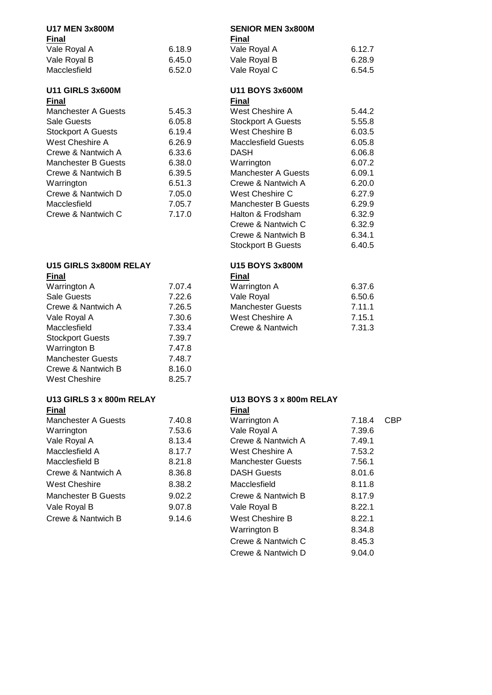# **Final Final**

| Vale Royal A | 6.18. |
|--------------|-------|
| Vale Royal B | 6.45. |
| Macclesfield | 6.52. |

# **U11 GIRLS 3x600M U11 BOYS 3x600M**

| <b>Final</b>               |        | <b>Final</b> |
|----------------------------|--------|--------------|
| <b>Manchester A Guests</b> | 5.45.3 | West         |
| <b>Sale Guests</b>         | 6.05.8 | Stock        |
| <b>Stockport A Guests</b>  | 6.19.4 | West         |
| West Cheshire A            | 6.26.9 | Macc         |
| Crewe & Nantwich A         | 6.33.6 | DASI         |
| <b>Manchester B Guests</b> | 6.38.0 | Warr         |
| Crewe & Nantwich B         | 6.39.5 | Manc         |
| Warrington                 | 6.51.3 | Crew         |
| Crewe & Nantwich D         | 7.05.0 | West         |
| Macclesfield               | 7.05.7 | Manc         |
| Crewe & Nantwich C         | 7.17.0 | Halto        |
|                            |        |              |

# **U15 GIRLS 3x800M RELAY U15 BOYS 3x800M**

| <b>Final</b>             |        | <b>Final</b> |
|--------------------------|--------|--------------|
| Warrington A             | 7.07.4 | Warr         |
| <b>Sale Guests</b>       | 7.22.6 | Vale         |
| Crewe & Nantwich A       | 7.26.5 | Manc         |
| Vale Royal A             | 7.30.6 | West         |
| Macclesfield             | 7.33.4 | Crew         |
| <b>Stockport Guests</b>  | 7.39.7 |              |
| Warrington B             | 7.47.8 |              |
| <b>Manchester Guests</b> | 7.48.7 |              |
| Crewe & Nantwich B       | 8.16.0 |              |
| West Cheshire            | 8.25.7 |              |

### **U13 GIRLS 3 x 800m RELAY U13 BOYS 3 x 800m RELAY Final Final**

| Manchester A Guests        |   |
|----------------------------|---|
| Warrington                 |   |
| Vale Royal A               |   |
| Macclesfield A             |   |
| Macclesfield B             |   |
| Crewe & Nantwich A         |   |
| <b>West Cheshire</b>       | Ş |
| <b>Manchester B Guests</b> | í |
| Vale Royal B               |   |
| Crewe & Nantwich B         |   |

# **U17 MEN 3x800M SENIOR MEN 3x800M**

| rınaı        |        | rınaı        |        |
|--------------|--------|--------------|--------|
| Vale Royal A | 6.18.9 | Vale Royal A | 6.12.7 |
| Vale Royal B | 6.45.0 | Vale Royal B | 6.28.9 |
| Macclesfield | 6.52.0 | Vale Royal C | 6.54.5 |

| Fınal               |        | Final                      |        |
|---------------------|--------|----------------------------|--------|
| Manchester A Guests | 5.45.3 | West Cheshire A            | 5.44.2 |
| Sale Guests         | 6.05.8 | <b>Stockport A Guests</b>  | 5.55.8 |
| Stockport A Guests  | 6.19.4 | West Cheshire B            | 6.03.5 |
| West Cheshire A     | 6.26.9 | <b>Macclesfield Guests</b> | 6.05.8 |
| Crewe & Nantwich A  | 6.33.6 | <b>DASH</b>                | 6.06.8 |
| Manchester B Guests | 6.38.0 | Warrington                 | 6.07.2 |
| Crewe & Nantwich B  | 6.39.5 | Manchester A Guests        | 6.09.1 |
| Warrington          | 6.51.3 | Crewe & Nantwich A         | 6.20.0 |
| Crewe & Nantwich D  | 7.05.0 | West Cheshire C            | 6.27.9 |
| Macclesfield        | 7.05.7 | <b>Manchester B Guests</b> | 6.29.9 |
| Crewe & Nantwich C  | 7.17.0 | Halton & Frodsham          | 6.32.9 |
|                     |        | Crewe & Nantwich C         | 6.32.9 |
|                     |        | Crewe & Nantwich B         | 6.34.1 |
|                     |        | <b>Stockport B Guests</b>  | 6.40.5 |
|                     |        |                            |        |

| Final              |        | Final                    |        |
|--------------------|--------|--------------------------|--------|
| Warrington A       | 7.07.4 | Warrington A             | 6.37.6 |
| Sale Guests        | 7.22.6 | Vale Royal               | 6.50.6 |
| Crewe & Nantwich A | 7.26.5 | <b>Manchester Guests</b> | 7.11.1 |
| Vale Royal A       | 7.30.6 | West Cheshire A          | 7.15.1 |
| Macclesfield       | 7.33.4 | Crewe & Nantwich         | 7.31.3 |
|                    |        |                          |        |

| <u>, ,,,,,</u>      |        | .                        |        |            |
|---------------------|--------|--------------------------|--------|------------|
| Manchester A Guests | 7.40.8 | Warrington A             | 7.18.4 | <b>CBP</b> |
| Warrington          | 7.53.6 | Vale Royal A             | 7.39.6 |            |
| Vale Royal A        | 8.13.4 | Crewe & Nantwich A       | 7.49.1 |            |
| Macclesfield A      | 8.17.7 | <b>West Cheshire A</b>   | 7.53.2 |            |
| Macclesfield B      | 8.21.8 | <b>Manchester Guests</b> | 7.56.1 |            |
| Crewe & Nantwich A  | 8.36.8 | <b>DASH Guests</b>       | 8.01.6 |            |
| West Cheshire       | 8.38.2 | Macclesfield             | 8.11.8 |            |
| Manchester B Guests | 9.02.2 | Crewe & Nantwich B       | 8.17.9 |            |
| Vale Royal B        | 9.07.8 | Vale Royal B             | 8.22.1 |            |
| Crewe & Nantwich B  | 9.14.6 | <b>West Cheshire B</b>   | 8.22.1 |            |
|                     |        | Warrington B             | 8.34.8 |            |
|                     |        | Crewe & Nantwich C       | 8.45.3 |            |
|                     |        | Crewe & Nantwich D       | 9.04.0 |            |